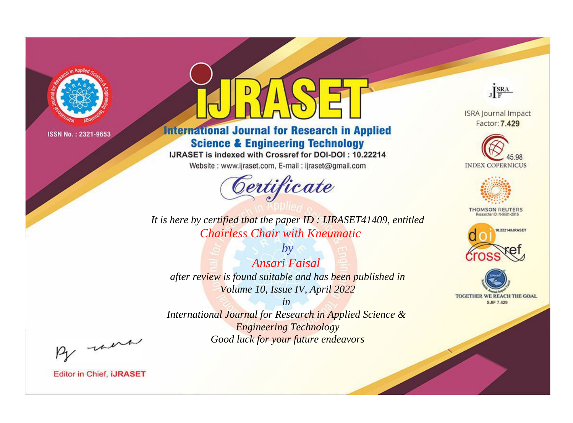

# **International Journal for Research in Applied Science & Engineering Technology**

IJRASET is indexed with Crossref for DOI-DOI: 10.22214

Website: www.ijraset.com, E-mail: ijraset@gmail.com



JERA **ISRA Journal Impact** 

Factor: 7.429





**THOMSON REUTERS** 



TOGETHER WE REACH THE GOAL **SJIF 7.429** 

*It is here by certified that the paper ID : IJRASET41409, entitled Chairless Chair with Kneumatic*

*by Ansari Faisal after review is found suitable and has been published in Volume 10, Issue IV, April 2022*

*in* 

*International Journal for Research in Applied Science & Engineering Technology Good luck for your future endeavors*

By morn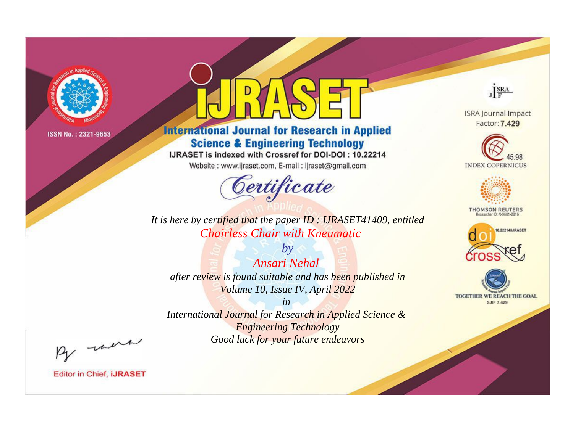

# **International Journal for Research in Applied Science & Engineering Technology**

IJRASET is indexed with Crossref for DOI-DOI: 10.22214

Website: www.ijraset.com, E-mail: ijraset@gmail.com



JERA

**ISRA Journal Impact** Factor: 7.429





**THOMSON REUTERS** 



TOGETHER WE REACH THE GOAL **SJIF 7.429** 

*It is here by certified that the paper ID : IJRASET41409, entitled Chairless Chair with Kneumatic*

*by Ansari Nehal after review is found suitable and has been published in Volume 10, Issue IV, April 2022*

*in* 

*International Journal for Research in Applied Science & Engineering Technology Good luck for your future endeavors*

By morn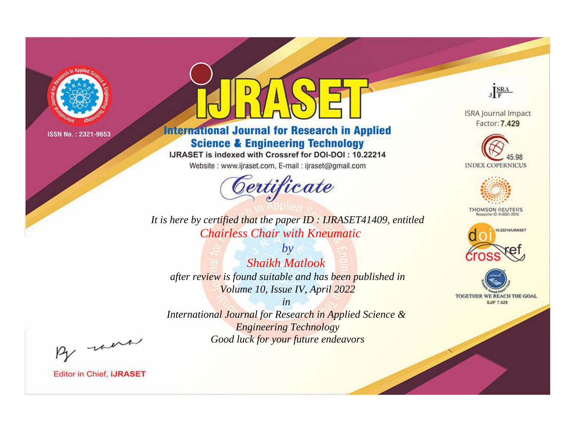

# **International Journal for Research in Applied Science & Engineering Technology**

IJRASET is indexed with Crossref for DOI-DOI: 10.22214

Website: www.ijraset.com, E-mail: ijraset@gmail.com



JERA

**ISRA Journal Impact** Factor: 7.429





**THOMSON REUTERS** 



TOGETHER WE REACH THE GOAL **SJIF 7.429** 

*It is here by certified that the paper ID : IJRASET41409, entitled Chairless Chair with Kneumatic*

*by Shaikh Matlook after review is found suitable and has been published in Volume 10, Issue IV, April 2022*

*in* 

*International Journal for Research in Applied Science & Engineering Technology Good luck for your future endeavors*

By morn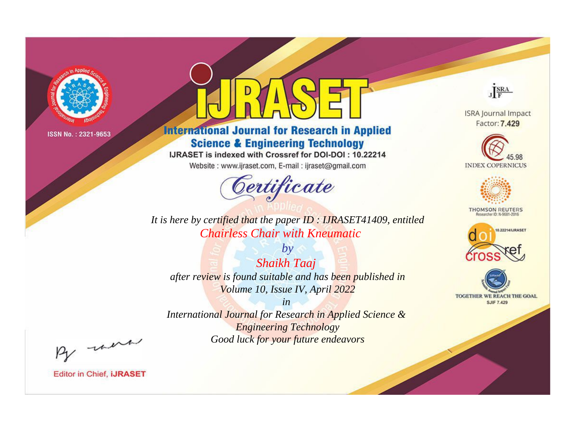

# **International Journal for Research in Applied Science & Engineering Technology**

IJRASET is indexed with Crossref for DOI-DOI: 10.22214

Website: www.ijraset.com, E-mail: ijraset@gmail.com



**ISRA Journal Impact** Factor: 7.429

JERA

**INDEX COPERNICUS** 



**THOMSON REUTERS** 



TOGETHER WE REACH THE GOAL **SJIF 7.429** 

It is here by certified that the paper ID : IJRASET41409, entitled **Chairless Chair with Kneumatic** 

 $by$ **Shaikh Taaj** after review is found suitable and has been published in Volume 10, Issue IV, April 2022

 $in$ International Journal for Research in Applied Science & **Engineering Technology** Good luck for your future endeavors

By morn